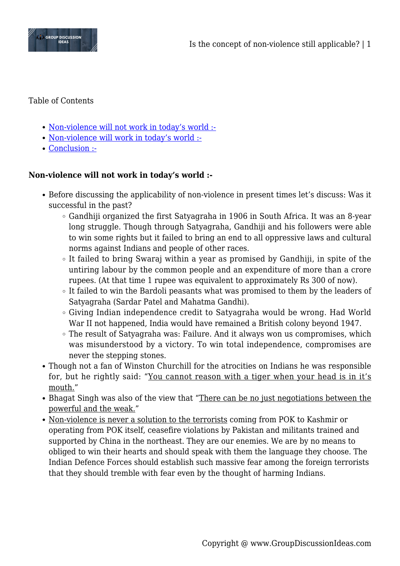

### Table of Contents

- [Non-violence will not work in today's world :-](#page--1-0)
- [Non-violence will work in today's world :-](#page--1-0)
- [Conclusion :-](#page--1-0)

## **Non-violence will not work in today's world :-**

- Before discussing the applicability of non-violence in present times let's discuss: Was it successful in the past?
	- Gandhiji organized the first Satyagraha in 1906 in South Africa. It was an 8-year long struggle. Though through Satyagraha, Gandhiji and his followers were able to win some rights but it failed to bring an end to all oppressive laws and cultural norms against Indians and people of other races.
	- $\circ$  It failed to bring Swaraj within a year as promised by Gandhiji, in spite of the untiring labour by the common people and an expenditure of more than a crore rupees. (At that time 1 rupee was equivalent to approximately Rs 300 of now).
	- It failed to win the Bardoli peasants what was promised to them by the leaders of Satyagraha (Sardar Patel and Mahatma Gandhi).
	- $\circ$  Giving Indian independence credit to Satyagraha would be wrong. Had World War II not happened, India would have remained a British colony beyond 1947.
	- The result of Satyagraha was: Failure. And it always won us compromises, which was misunderstood by a victory. To win total independence, compromises are never the stepping stones.
- Though not a fan of Winston Churchill for the atrocities on Indians he was responsible for, but he rightly said: "You cannot reason with a tiger when your head is in it's mouth."
- Bhagat Singh was also of the view that "There can be no just negotiations between the powerful and the weak."
- Non-violence is never a solution to the terrorists coming from POK to Kashmir or operating from POK itself, ceasefire violations by Pakistan and militants trained and supported by China in the northeast. They are our enemies. We are by no means to obliged to win their hearts and should speak with them the language they choose. The Indian Defence Forces should establish such massive fear among the foreign terrorists that they should tremble with fear even by the thought of harming Indians.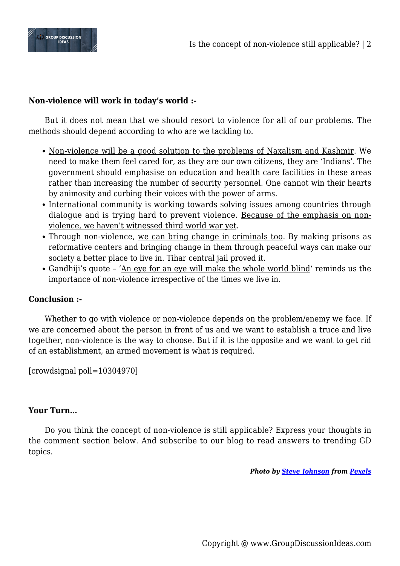

# **Non-violence will work in today's world :-**

But it does not mean that we should resort to violence for all of our problems. The methods should depend according to who are we tackling to.

- Non-violence will be a good solution to the problems of Naxalism and Kashmir. We need to make them feel cared for, as they are our own citizens, they are 'Indians'. The government should emphasise on education and health care facilities in these areas rather than increasing the number of security personnel. One cannot win their hearts by animosity and curbing their voices with the power of arms.
- International community is working towards solving issues among countries through dialogue and is trying hard to prevent violence. Because of the emphasis on nonviolence, we haven't witnessed third world war yet.
- Through non-violence, we can bring change in criminals too. By making prisons as reformative centers and bringing change in them through peaceful ways can make our society a better place to live in. Tihar central jail proved it.
- Gandhiji's quote 'An eye for an eye will make the whole world blind' reminds us the importance of non-violence irrespective of the times we live in.

### **Conclusion :-**

Whether to go with violence or non-violence depends on the problem/enemy we face. If we are concerned about the person in front of us and we want to establish a truce and live together, non-violence is the way to choose. But if it is the opposite and we want to get rid of an establishment, an armed movement is what is required.

[crowdsignal poll=10304970]

### **Your Turn…**

Do you think the concept of non-violence is still applicable? Express your thoughts in the comment section below. And subscribe to our blog to read answers to trending GD topics.

*Photo by [Steve Johnson](https://www.pexels.com/@steve?utm_content=attributionCopyText&utm_medium=referral&utm_source=pexels) from [Pexels](https://www.pexels.com/photo/candle-burning-1007767/?utm_content=attributionCopyText&utm_medium=referral&utm_source=pexels)*